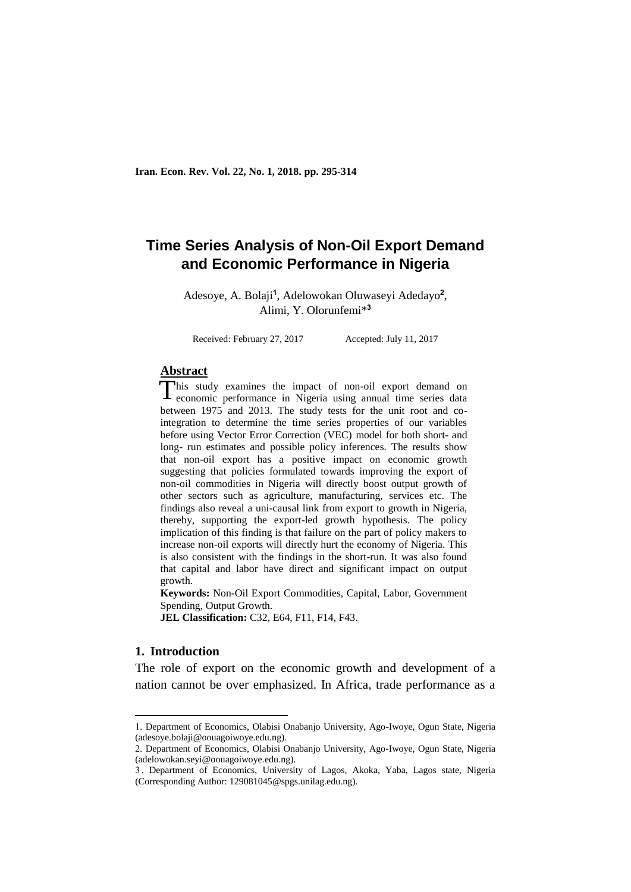# **Time Series Analysis of Non-Oil Export Demand and Economic Performance in Nigeria**

Adesoye, A. Bolaji**<sup>1</sup>** , Adelowokan Oluwaseyi Adedayo**<sup>2</sup>** , Alimi, Y. Olorunfemi\* **3**

Received: February 27, 2017 Accepted: July 11, 2017

# **Abstract**

his study examines the impact of non-oil export demand on This study examines the impact of non-oil export demand on economic performance in Nigeria using annual time series data between 1975 and 2013. The study tests for the unit root and cointegration to determine the time series properties of our variables before using Vector Error Correction (VEC) model for both short- and long- run estimates and possible policy inferences. The results show that non-oil export has a positive impact on economic growth suggesting that policies formulated towards improving the export of non-oil commodities in Nigeria will directly boost output growth of other sectors such as agriculture, manufacturing, services etc. The findings also reveal a uni-causal link from export to growth in Nigeria, thereby, supporting the export-led growth hypothesis. The policy implication of this finding is that failure on the part of policy makers to increase non-oil exports will directly hurt the economy of Nigeria. This is also consistent with the findings in the short-run. It was also found that capital and labor have direct and significant impact on output growth.

**Keywords:** Non-Oil Export Commodities, Capital, Labor, Government Spending, Output Growth.

**JEL Classification:** C32, E64, F11, F14, F43.

### **1. Introduction**

1

The role of export on the economic growth and development of a nation cannot be over emphasized. In Africa, trade performance as a

<sup>1.</sup> Department of Economics, Olabisi Onabanjo University, Ago-Iwoye, Ogun State, Nigeria (adesoye.bolaji@oouagoiwoye.edu.ng).

<sup>2.</sup> Department of Economics, Olabisi Onabanjo University, Ago-Iwoye, Ogun State, Nigeria (adelowokan.seyi@oouagoiwoye.edu.ng).

<sup>3</sup> . Department of Economics, University of Lagos, Akoka, Yaba, Lagos state, Nigeria (Corresponding Author: 129081045@spgs.unilag.edu.ng).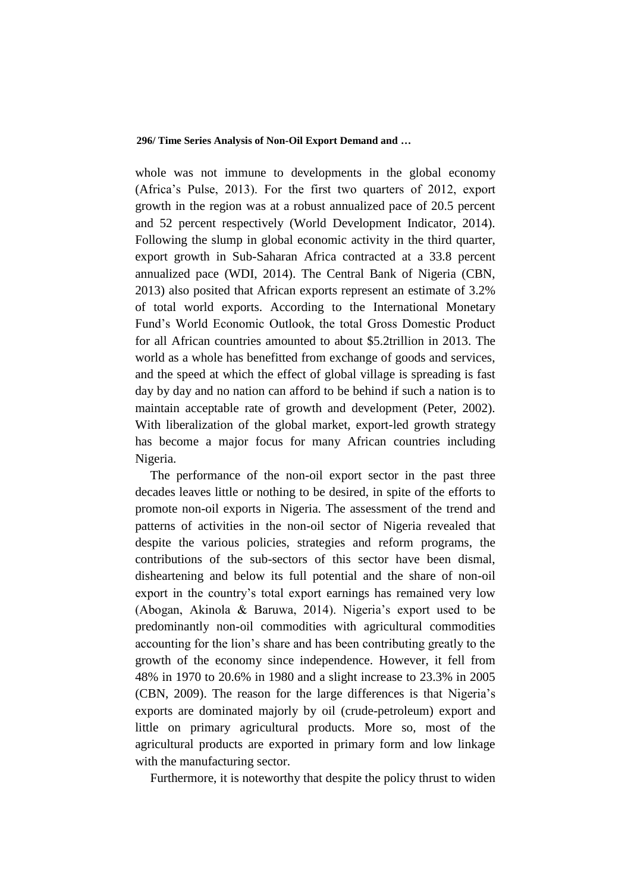whole was not immune to developments in the global economy (Africa's Pulse, 2013). For the first two quarters of 2012, export growth in the region was at a robust annualized pace of 20.5 percent and 52 percent respectively (World Development Indicator, 2014). Following the slump in global economic activity in the third quarter, export growth in Sub-Saharan Africa contracted at a 33.8 percent annualized pace (WDI, 2014). The Central Bank of Nigeria (CBN, 2013) also posited that African exports represent an estimate of 3.2% of total world exports. According to the International Monetary Fund's World Economic Outlook, the total Gross Domestic Product for all African countries amounted to about \$5.2trillion in 2013. The world as a whole has benefitted from exchange of goods and services, and the speed at which the effect of global village is spreading is fast day by day and no nation can afford to be behind if such a nation is to maintain acceptable rate of growth and development (Peter, 2002). With liberalization of the global market, export-led growth strategy has become a major focus for many African countries including Nigeria.

The performance of the non-oil export sector in the past three decades leaves little or nothing to be desired, in spite of the efforts to promote non-oil exports in Nigeria. The assessment of the trend and patterns of activities in the non-oil sector of Nigeria revealed that despite the various policies, strategies and reform programs, the contributions of the sub-sectors of this sector have been dismal, disheartening and below its full potential and the share of non-oil export in the country's total export earnings has remained very low (Abogan, Akinola & Baruwa, 2014). Nigeria's export used to be predominantly non-oil commodities with agricultural commodities accounting for the lion's share and has been contributing greatly to the growth of the economy since independence. However, it fell from 48% in 1970 to 20.6% in 1980 and a slight increase to 23.3% in 2005 (CBN, 2009). The reason for the large differences is that Nigeria's exports are dominated majorly by oil (crude-petroleum) export and little on primary agricultural products. More so, most of the agricultural products are exported in primary form and low linkage with the manufacturing sector.

Furthermore, it is noteworthy that despite the policy thrust to widen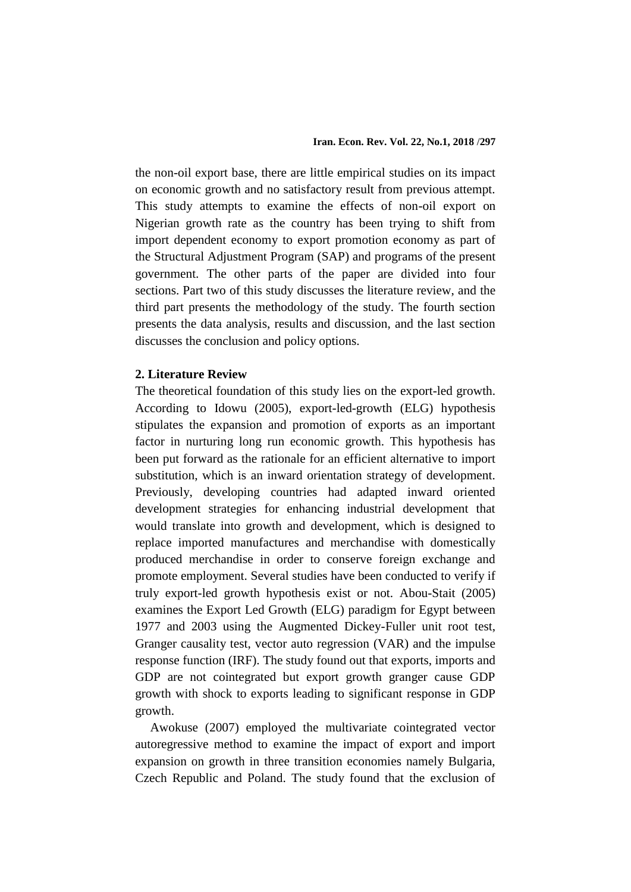the non-oil export base, there are little empirical studies on its impact on economic growth and no satisfactory result from previous attempt. This study attempts to examine the effects of non-oil export on Nigerian growth rate as the country has been trying to shift from import dependent economy to export promotion economy as part of the Structural Adjustment Program (SAP) and programs of the present government. The other parts of the paper are divided into four sections. Part two of this study discusses the literature review, and the third part presents the methodology of the study. The fourth section presents the data analysis, results and discussion, and the last section discusses the conclusion and policy options.

### **2. Literature Review**

The theoretical foundation of this study lies on the export-led growth. According to Idowu (2005), export-led-growth (ELG) hypothesis stipulates the expansion and promotion of exports as an important factor in nurturing long run economic growth. This hypothesis has been put forward as the rationale for an efficient alternative to import substitution, which is an inward orientation strategy of development. Previously, developing countries had adapted inward oriented development strategies for enhancing industrial development that would translate into growth and development, which is designed to replace imported manufactures and merchandise with domestically produced merchandise in order to conserve foreign exchange and promote employment. Several studies have been conducted to verify if truly export-led growth hypothesis exist or not. Abou-Stait (2005) examines the Export Led Growth (ELG) paradigm for Egypt between 1977 and 2003 using the Augmented Dickey-Fuller unit root test, Granger causality test, vector auto regression (VAR) and the impulse response function (IRF). The study found out that exports, imports and GDP are not cointegrated but export growth granger cause GDP growth with shock to exports leading to significant response in GDP growth.

Awokuse (2007) employed the multivariate cointegrated vector autoregressive method to examine the impact of export and import expansion on growth in three transition economies namely Bulgaria, Czech Republic and Poland. The study found that the exclusion of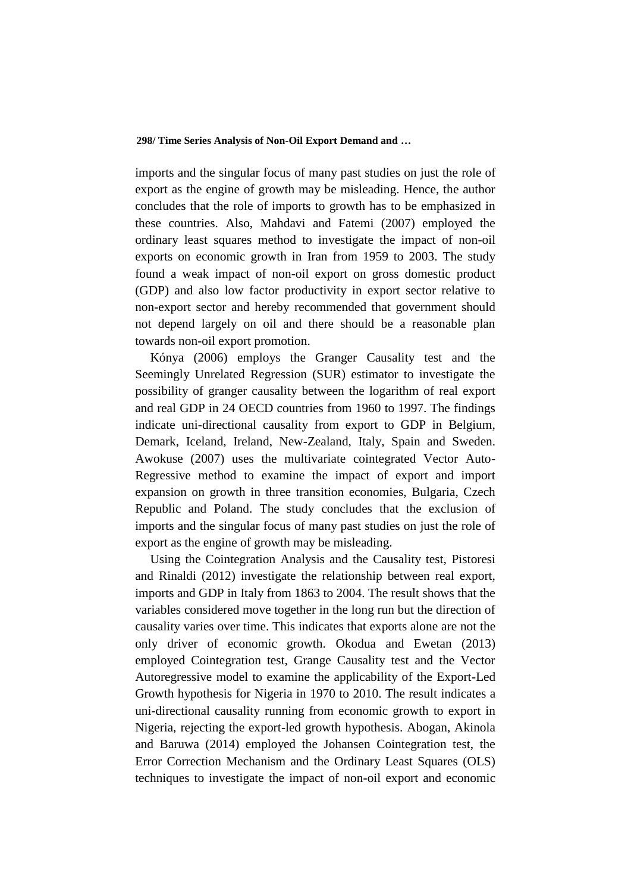imports and the singular focus of many past studies on just the role of export as the engine of growth may be misleading. Hence, the author concludes that the role of imports to growth has to be emphasized in these countries. Also, Mahdavi and Fatemi (2007) employed the ordinary least squares method to investigate the impact of non-oil exports on economic growth in Iran from 1959 to 2003. The study found a weak impact of non-oil export on gross domestic product (GDP) and also low factor productivity in export sector relative to non-export sector and hereby recommended that government should not depend largely on oil and there should be a reasonable plan towards non-oil export promotion.

Kónya (2006) employs the Granger Causality test and the Seemingly Unrelated Regression (SUR) estimator to investigate the possibility of granger causality between the logarithm of real export and real GDP in 24 OECD countries from 1960 to 1997. The findings indicate uni-directional causality from export to GDP in Belgium, Demark, Iceland, Ireland, New-Zealand, Italy, Spain and Sweden. Awokuse (2007) uses the multivariate cointegrated Vector Auto-Regressive method to examine the impact of export and import expansion on growth in three transition economies, Bulgaria, Czech Republic and Poland. The study concludes that the exclusion of imports and the singular focus of many past studies on just the role of export as the engine of growth may be misleading.

Using the Cointegration Analysis and the Causality test, Pistoresi and Rinaldi (2012) investigate the relationship between real export, imports and GDP in Italy from 1863 to 2004. The result shows that the variables considered move together in the long run but the direction of causality varies over time. This indicates that exports alone are not the only driver of economic growth. Okodua and Ewetan (2013) employed Cointegration test, Grange Causality test and the Vector Autoregressive model to examine the applicability of the Export-Led Growth hypothesis for Nigeria in 1970 to 2010. The result indicates a uni-directional causality running from economic growth to export in Nigeria, rejecting the export-led growth hypothesis. Abogan, Akinola and Baruwa (2014) employed the Johansen Cointegration test, the Error Correction Mechanism and the Ordinary Least Squares (OLS) techniques to investigate the impact of non-oil export and economic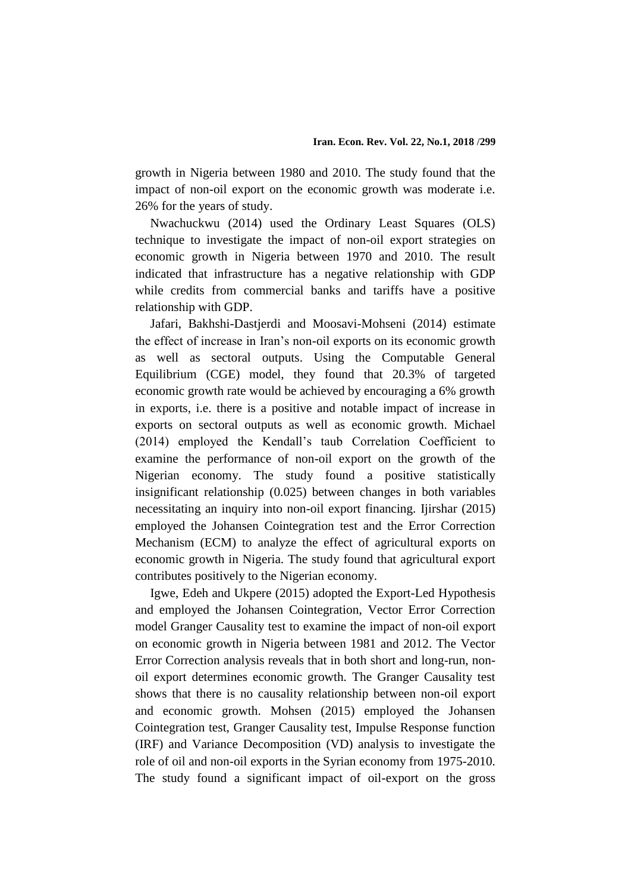growth in Nigeria between 1980 and 2010. The study found that the impact of non-oil export on the economic growth was moderate i.e. 26% for the years of study.

Nwachuckwu (2014) used the Ordinary Least Squares (OLS) technique to investigate the impact of non-oil export strategies on economic growth in Nigeria between 1970 and 2010. The result indicated that infrastructure has a negative relationship with GDP while credits from commercial banks and tariffs have a positive relationship with GDP.

Jafari, Bakhshi-Dastjerdi and Moosavi-Mohseni (2014) estimate the effect of increase in Iran's non-oil exports on its economic growth as well as sectoral outputs. Using the Computable General Equilibrium (CGE) model, they found that 20.3% of targeted economic growth rate would be achieved by encouraging a 6% growth in exports, i.e. there is a positive and notable impact of increase in exports on sectoral outputs as well as economic growth. Michael (2014) employed the Kendall's taub Correlation Coefficient to examine the performance of non-oil export on the growth of the Nigerian economy. The study found a positive statistically insignificant relationship (0.025) between changes in both variables necessitating an inquiry into non-oil export financing. Ijirshar (2015) employed the Johansen Cointegration test and the Error Correction Mechanism (ECM) to analyze the effect of agricultural exports on economic growth in Nigeria. The study found that agricultural export contributes positively to the Nigerian economy.

Igwe, Edeh and Ukpere (2015) adopted the Export-Led Hypothesis and employed the Johansen Cointegration, Vector Error Correction model Granger Causality test to examine the impact of non-oil export on economic growth in Nigeria between 1981 and 2012. The Vector Error Correction analysis reveals that in both short and long-run, nonoil export determines economic growth. The Granger Causality test shows that there is no causality relationship between non-oil export and economic growth. Mohsen (2015) employed the Johansen Cointegration test, Granger Causality test, Impulse Response function (IRF) and Variance Decomposition (VD) analysis to investigate the role of oil and non-oil exports in the Syrian economy from 1975-2010. The study found a significant impact of oil-export on the gross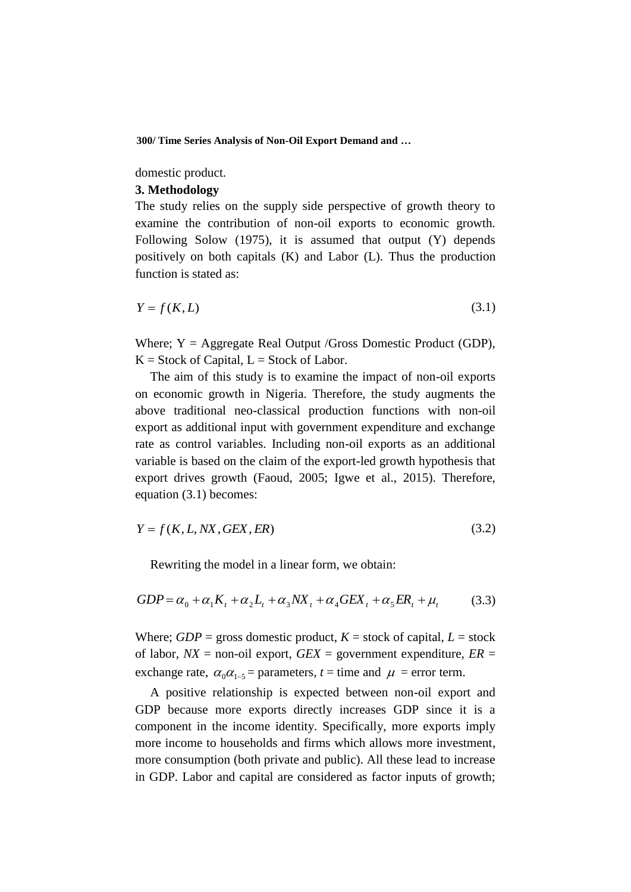domestic product.

### **3. Methodology**

The study relies on the supply side perspective of growth theory to examine the contribution of non-oil exports to economic growth. Following Solow (1975), it is assumed that output (Y) depends positively on both capitals (K) and Labor (L). Thus the production function is stated as:

$$
Y = f(K, L) \tag{3.1}
$$

Where;  $Y = \text{Aggregate Real Output}/\text{Gross Domestic Product (GDP)}$ ,  $K = Stock$  of Capital,  $L = Stock$  of Labor.

The aim of this study is to examine the impact of non-oil exports on economic growth in Nigeria. Therefore, the study augments the above traditional neo-classical production functions with non-oil export as additional input with government expenditure and exchange rate as control variables. Including non-oil exports as an additional variable is based on the claim of the export-led growth hypothesis that export drives growth (Faoud, 2005; Igwe et al., 2015). Therefore, equation (3.1) becomes:

$$
Y = f(K, L, N X, GEX, ER)
$$
\n(3.2)

Rewriting the model in a linear form, we obtain:

$$
GDP = \alpha_0 + \alpha_1 K_t + \alpha_2 L_t + \alpha_3 N X_t + \alpha_4 GEX_t + \alpha_5 ER_t + \mu_t
$$
 (3.3)

Where;  $GDP =$  gross domestic product,  $K =$  stock of capital,  $L =$  stock of labor,  $NX =$  non-oil export,  $GEX =$  government expenditure,  $ER =$ exchange rate,  $\alpha_0 \alpha_{1-5}$  = parameters, *t* = time and  $\mu$  = error term.

A positive relationship is expected between non-oil export and GDP because more exports directly increases GDP since it is a component in the income identity. Specifically, more exports imply more income to households and firms which allows more investment, more consumption (both private and public). All these lead to increase in GDP. Labor and capital are considered as factor inputs of growth;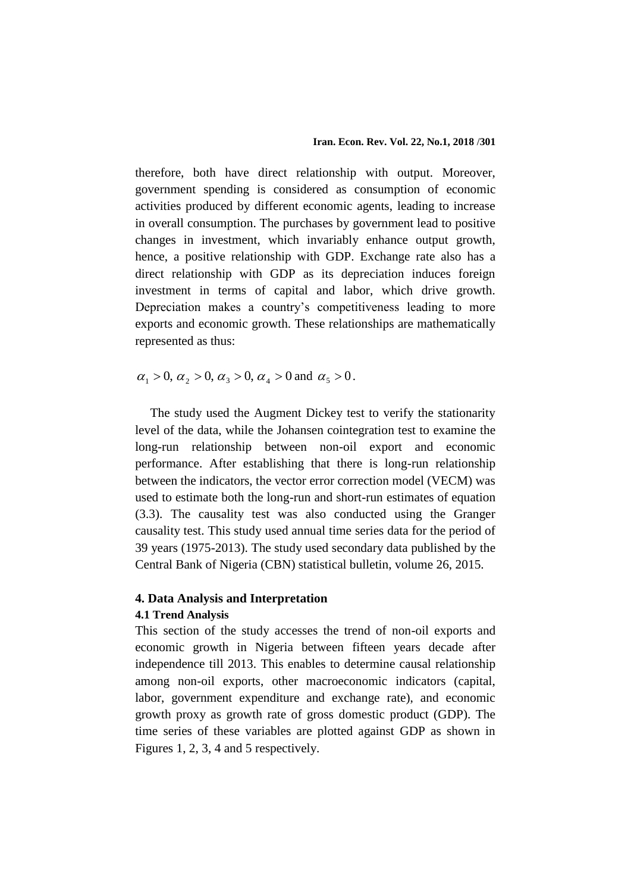therefore, both have direct relationship with output. Moreover, government spending is considered as consumption of economic activities produced by different economic agents, leading to increase in overall consumption. The purchases by government lead to positive changes in investment, which invariably enhance output growth, hence, a positive relationship with GDP. Exchange rate also has a direct relationship with GDP as its depreciation induces foreign investment in terms of capital and labor, which drive growth. Depreciation makes a country's competitiveness leading to more exports and economic growth. These relationships are mathematically represented as thus:

 $\alpha_1 > 0, \, \alpha_2 > 0, \, \alpha_3 > 0, \, \alpha_4 > 0$  and  $\alpha_5 > 0$ .

The study used the Augment Dickey test to verify the stationarity level of the data, while the Johansen cointegration test to examine the long-run relationship between non-oil export and economic performance. After establishing that there is long-run relationship between the indicators, the vector error correction model (VECM) was used to estimate both the long-run and short-run estimates of equation (3.3). The causality test was also conducted using the Granger causality test. This study used annual time series data for the period of 39 years (1975-2013). The study used secondary data published by the Central Bank of Nigeria (CBN) statistical bulletin, volume 26, 2015.

# **4. Data Analysis and Interpretation**

### **4.1 Trend Analysis**

This section of the study accesses the trend of non-oil exports and economic growth in Nigeria between fifteen years decade after independence till 2013. This enables to determine causal relationship among non-oil exports, other macroeconomic indicators (capital, labor, government expenditure and exchange rate), and economic growth proxy as growth rate of gross domestic product (GDP). The time series of these variables are plotted against GDP as shown in Figures 1, 2, 3, 4 and 5 respectively.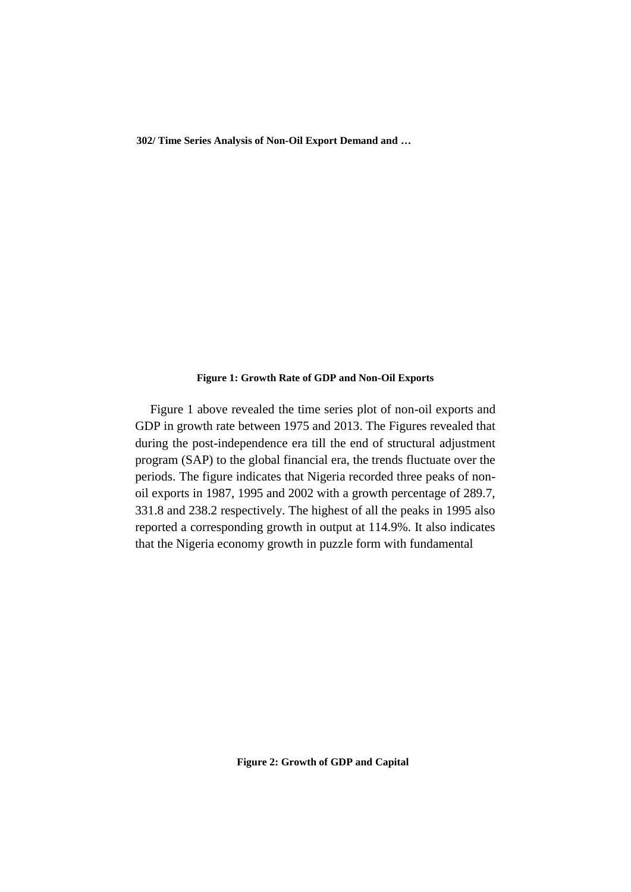### **Figure 1: Growth Rate of GDP and Non-Oil Exports**

Figure 1 above revealed the time series plot of non-oil exports and GDP in growth rate between 1975 and 2013. The Figures revealed that during the post-independence era till the end of structural adjustment program (SAP) to the global financial era, the trends fluctuate over the periods. The figure indicates that Nigeria recorded three peaks of nonoil exports in 1987, 1995 and 2002 with a growth percentage of 289.7, 331.8 and 238.2 respectively. The highest of all the peaks in 1995 also reported a corresponding growth in output at 114.9%. It also indicates that the Nigeria economy growth in puzzle form with fundamental

**Figure 2: Growth of GDP and Capital**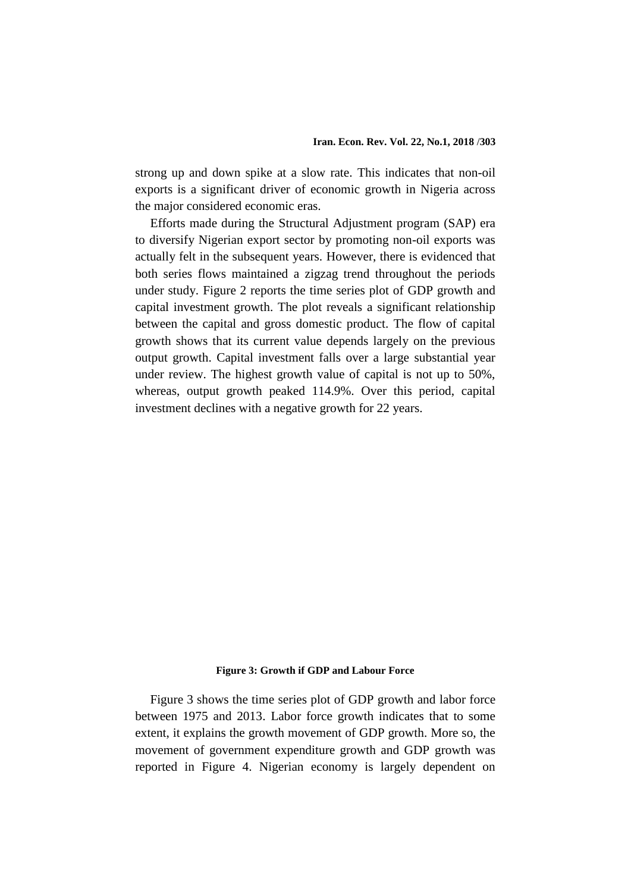strong up and down spike at a slow rate. This indicates that non-oil exports is a significant driver of economic growth in Nigeria across the major considered economic eras.

Efforts made during the Structural Adjustment program (SAP) era to diversify Nigerian export sector by promoting non-oil exports was actually felt in the subsequent years. However, there is evidenced that both series flows maintained a zigzag trend throughout the periods under study. Figure 2 reports the time series plot of GDP growth and capital investment growth. The plot reveals a significant relationship between the capital and gross domestic product. The flow of capital growth shows that its current value depends largely on the previous output growth. Capital investment falls over a large substantial year under review. The highest growth value of capital is not up to 50%, whereas, output growth peaked 114.9%. Over this period, capital investment declines with a negative growth for 22 years.

### **Figure 3: Growth if GDP and Labour Force**

Figure 3 shows the time series plot of GDP growth and labor force between 1975 and 2013. Labor force growth indicates that to some extent, it explains the growth movement of GDP growth. More so, the movement of government expenditure growth and GDP growth was reported in Figure 4. Nigerian economy is largely dependent on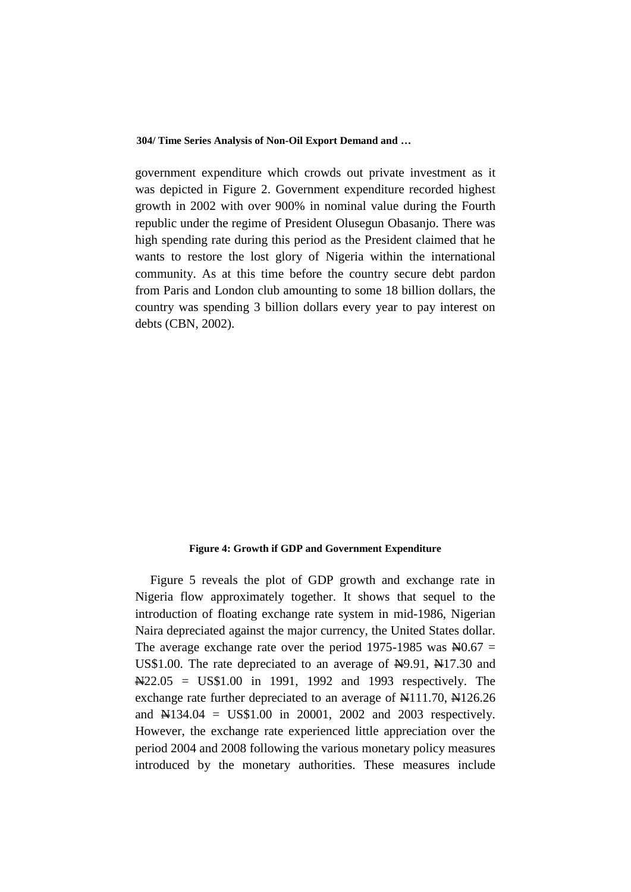government expenditure which crowds out private investment as it was depicted in Figure 2. Government expenditure recorded highest growth in 2002 with over 900% in nominal value during the Fourth republic under the regime of President Olusegun Obasanjo. There was high spending rate during this period as the President claimed that he wants to restore the lost glory of Nigeria within the international community. As at this time before the country secure debt pardon from Paris and London club amounting to some 18 billion dollars, the country was spending 3 billion dollars every year to pay interest on debts (CBN, 2002).

#### **Figure 4: Growth if GDP and Government Expenditure**

Figure 5 reveals the plot of GDP growth and exchange rate in Nigeria flow approximately together. It shows that sequel to the introduction of floating exchange rate system in mid-1986, Nigerian Naira depreciated against the major currency, the United States dollar. The average exchange rate over the period 1975-1985 was  $\text{H}0.67$  = US\$1.00. The rate depreciated to an average of  $\frac{N}{2}9.91$ ,  $\frac{N}{17.30}$  and  $\text{N22.05} = \text{US} \text{$} 1.00$  in 1991, 1992 and 1993 respectively. The exchange rate further depreciated to an average of  $\text{N}111.70$ ,  $\text{N}126.26$ and N134.04 = US\$1.00 in 20001, 2002 and 2003 respectively. However, the exchange rate experienced little appreciation over the period 2004 and 2008 following the various monetary policy measures introduced by the monetary authorities. These measures include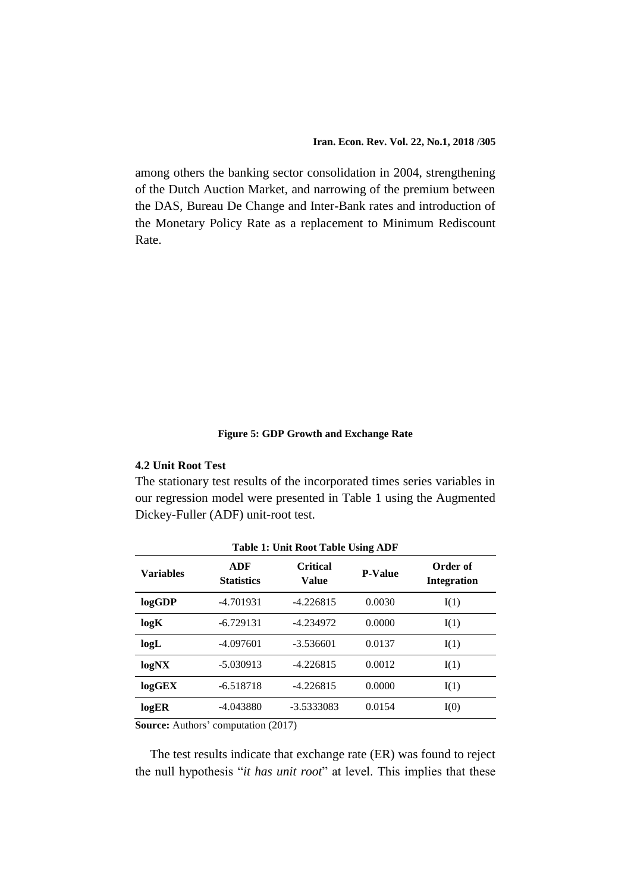among others the banking sector consolidation in 2004, strengthening of the Dutch Auction Market, and narrowing of the premium between the DAS, Bureau De Change and Inter-Bank rates and introduction of the Monetary Policy Rate as a replacement to Minimum Rediscount Rate.

### **Figure 5: GDP Growth and Exchange Rate**

# **4.2 Unit Root Test**

The stationary test results of the incorporated times series variables in our regression model were presented in Table 1 using the Augmented Dickey-Fuller (ADF) unit-root test.

| <b>Table 1: Unit Root Table Using ADF</b> |                          |                          |                |                                |
|-------------------------------------------|--------------------------|--------------------------|----------------|--------------------------------|
| <b>Variables</b>                          | ADF<br><b>Statistics</b> | <b>Critical</b><br>Value | <b>P-Value</b> | Order of<br><b>Integration</b> |
| logGDP                                    | $-4.701931$              | $-4.226815$              | 0.0030         | I(1)                           |
| logK                                      | $-6.729131$              | -4.234972                | 0.0000         | I(1)                           |
| logL                                      | $-4.097601$              | $-3.536601$              | 0.0137         | I(1)                           |
| logNX                                     | $-5.030913$              | $-4.226815$              | 0.0012         | I(1)                           |
| logGEX                                    | $-6.518718$              | $-4.226815$              | 0.0000         | I(1)                           |
| logER                                     | $-4.043880$              | -3.5333083               | 0.0154         | I(0)                           |

**Source:** Authors' computation (2017)

The test results indicate that exchange rate (ER) was found to reject the null hypothesis "*it has unit root*" at level. This implies that these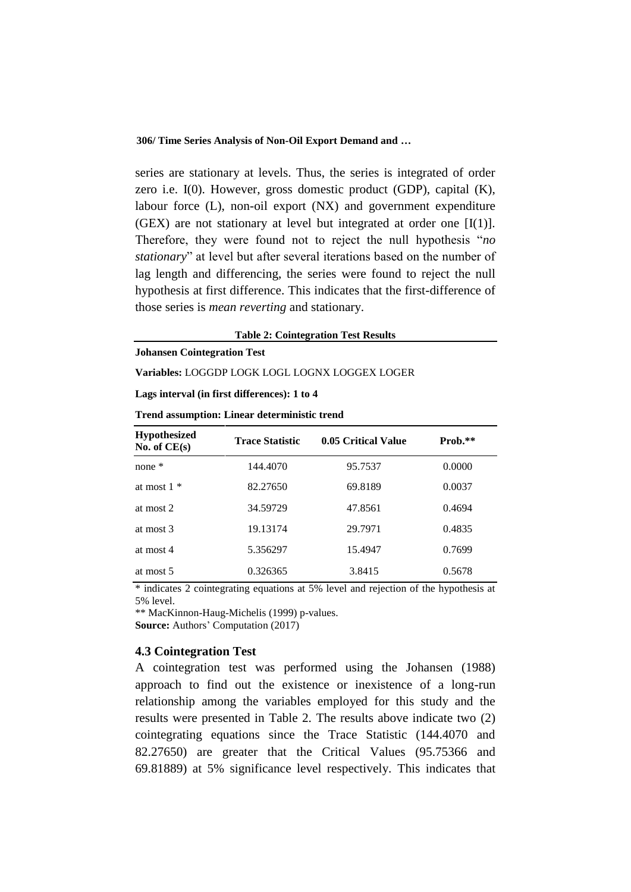series are stationary at levels. Thus, the series is integrated of order zero i.e. I(0). However, gross domestic product (GDP), capital (K), labour force (L), non-oil export (NX) and government expenditure (GEX) are not stationary at level but integrated at order one  $[I(1)]$ . Therefore, they were found not to reject the null hypothesis "*no stationary*" at level but after several iterations based on the number of lag length and differencing, the series were found to reject the null hypothesis at first difference. This indicates that the first-difference of those series is *mean reverting* and stationary.

**Table 2: Cointegration Test Results**

**Johansen Cointegration Test**

**Variables:** LOGGDP LOGK LOGL LOGNX LOGGEX LOGER

**Lags interval (in first differences): 1 to 4**

| <b>Trend assumption: Linear deterministic trend</b> |  |
|-----------------------------------------------------|--|
|-----------------------------------------------------|--|

| <b>Hypothesized</b><br>No. of $CE(s)$ | <b>Trace Statistic</b> | 0.05 Critical Value | Prob.** |
|---------------------------------------|------------------------|---------------------|---------|
| none *                                | 144.4070               | 95.7537             | 0.0000  |
| at most $1 *$                         | 82.27650               | 69.8189             | 0.0037  |
| at most 2                             | 34.59729               | 47.8561             | 0.4694  |
| at most 3                             | 19.13174               | 29.7971             | 0.4835  |
| at most 4                             | 5.356297               | 15.4947             | 0.7699  |
| at most 5                             | 0.326365               | 3.8415              | 0.5678  |

\* indicates 2 cointegrating equations at 5% level and rejection of the hypothesis at 5% level.

\*\* MacKinnon-Haug-Michelis (1999) p-values.

**Source:** Authors' Computation (2017)

### **4.3 Cointegration Test**

A cointegration test was performed using the Johansen (1988) approach to find out the existence or inexistence of a long-run relationship among the variables employed for this study and the results were presented in Table 2. The results above indicate two (2) cointegrating equations since the Trace Statistic (144.4070 and 82.27650) are greater that the Critical Values (95.75366 and 69.81889) at 5% significance level respectively. This indicates that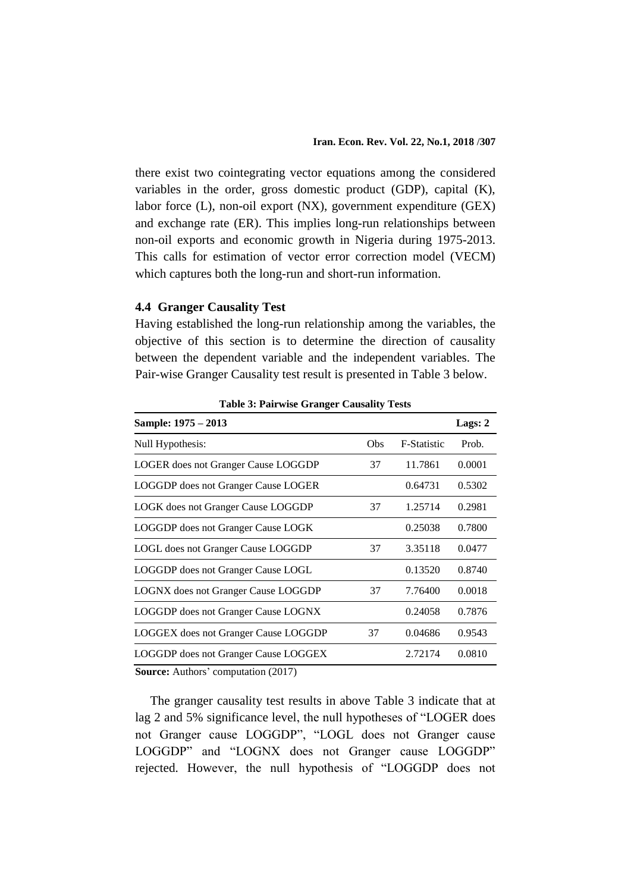there exist two cointegrating vector equations among the considered variables in the order, gross domestic product (GDP), capital (K), labor force (L), non-oil export (NX), government expenditure (GEX) and exchange rate (ER). This implies long-run relationships between non-oil exports and economic growth in Nigeria during 1975-2013. This calls for estimation of vector error correction model (VECM) which captures both the long-run and short-run information.

# **4.4 Granger Causality Test**

Having established the long-run relationship among the variables, the objective of this section is to determine the direction of causality between the dependent variable and the independent variables. The Pair-wise Granger Causality test result is presented in Table 3 below.

| o                                           |     |             |         |
|---------------------------------------------|-----|-------------|---------|
| Sample: 1975 - 2013                         |     |             | Lags: 2 |
| Null Hypothesis:                            | Obs | F-Statistic | Prob.   |
| <b>LOGER</b> does not Granger Cause LOGGDP  | 37  | 11.7861     | 0.0001  |
| <b>LOGGDP</b> does not Granger Cause LOGER  |     | 0.64731     | 0.5302  |
| LOGK does not Granger Cause LOGGDP          | 37  | 1.25714     | 0.2981  |
| LOGGDP does not Granger Cause LOGK          |     | 0.25038     | 0.7800  |
| LOGL does not Granger Cause LOGGDP          | 37  | 3.35118     | 0.0477  |
| LOGGDP does not Granger Cause LOGL          |     | 0.13520     | 0.8740  |
| <b>LOGNX</b> does not Granger Cause LOGGDP  | 37  | 7.76400     | 0.0018  |
| <b>LOGGDP</b> does not Granger Cause LOGNX  |     | 0.24058     | 0.7876  |
| <b>LOGGEX</b> does not Granger Cause LOGGDP | 37  | 0.04686     | 0.9543  |
| LOGGDP does not Granger Cause LOGGEX        |     | 2.72174     | 0.0810  |
| $\alpha$ $\alpha$ $\alpha$                  |     |             |         |

**Table 3: Pairwise Granger Causality Tests**

**Source:** Authors' computation (2017)

The granger causality test results in above Table 3 indicate that at lag 2 and 5% significance level, the null hypotheses of "LOGER does not Granger cause LOGGDP", "LOGL does not Granger cause LOGGDP" and "LOGNX does not Granger cause LOGGDP" rejected. However, the null hypothesis of "LOGGDP does not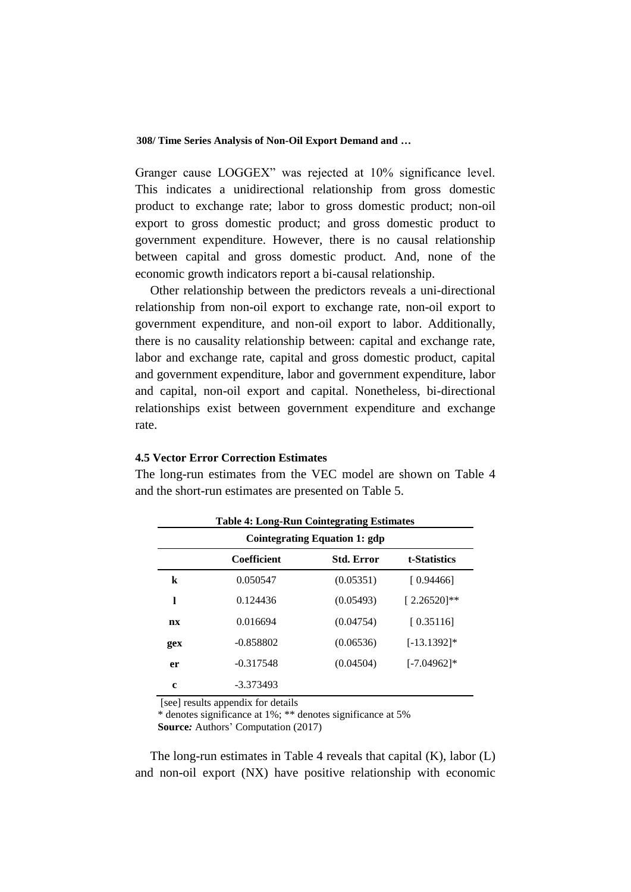Granger cause LOGGEX" was rejected at 10% significance level. This indicates a unidirectional relationship from gross domestic product to exchange rate; labor to gross domestic product; non-oil export to gross domestic product; and gross domestic product to government expenditure. However, there is no causal relationship between capital and gross domestic product. And, none of the economic growth indicators report a bi-causal relationship.

Other relationship between the predictors reveals a uni-directional relationship from non-oil export to exchange rate, non-oil export to government expenditure, and non-oil export to labor. Additionally, there is no causality relationship between: capital and exchange rate, labor and exchange rate, capital and gross domestic product, capital and government expenditure, labor and government expenditure, labor and capital, non-oil export and capital. Nonetheless, bi-directional relationships exist between government expenditure and exchange rate.

## **4.5 Vector Error Correction Estimates**

The long-run estimates from the VEC model are shown on Table 4 and the short-run estimates are presented on Table 5.

| <b>Table 4: Long-Run Cointegrating Estimates</b> |                                      |                   |                |  |  |
|--------------------------------------------------|--------------------------------------|-------------------|----------------|--|--|
|                                                  | <b>Cointegrating Equation 1: gdp</b> |                   |                |  |  |
|                                                  | <b>Coefficient</b>                   | <b>Std. Error</b> | t-Statistics   |  |  |
| k                                                | 0.050547                             | (0.05351)         | [ 0.94466]     |  |  |
| ı                                                | 0.124436                             | (0.05493)         | $[2.26520]$ ** |  |  |
| nx                                               | 0.016694                             | (0.04754)         | [0.35116]      |  |  |
| gex                                              | $-0.858802$                          | (0.06536)         | $[-13.1392]$ * |  |  |
| er                                               | $-0.317548$                          | (0.04504)         | $[-7.04962]$ * |  |  |
| c                                                | $-3.373493$                          |                   |                |  |  |

[see] results appendix for details

\* denotes significance at 1%; \*\* denotes significance at 5%

**Source***:* Authors' Computation (2017)

The long-run estimates in Table 4 reveals that capital (K), labor (L) and non-oil export (NX) have positive relationship with economic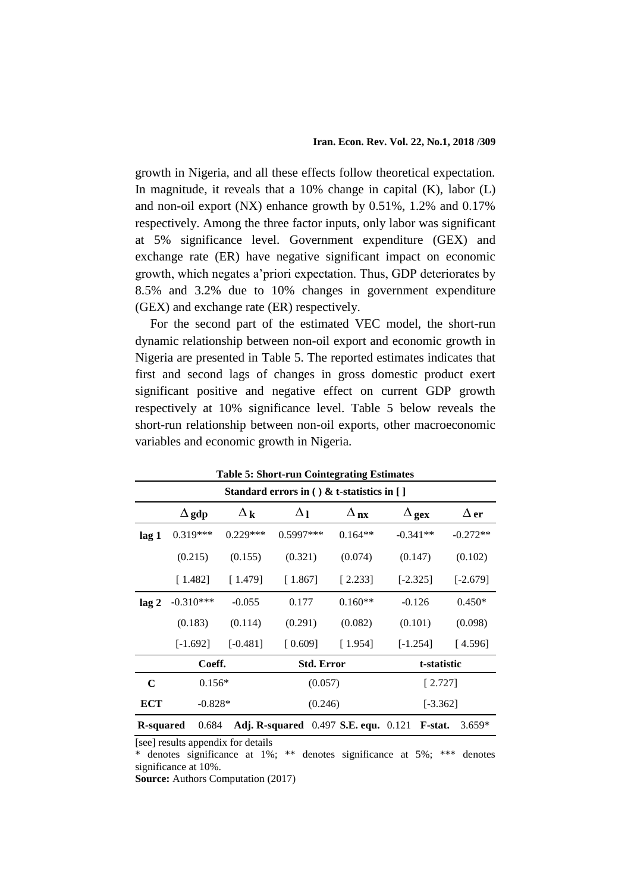growth in Nigeria, and all these effects follow theoretical expectation. In magnitude, it reveals that a  $10\%$  change in capital (K), labor (L) and non-oil export (NX) enhance growth by 0.51%, 1.2% and 0.17% respectively. Among the three factor inputs, only labor was significant at 5% significance level. Government expenditure (GEX) and exchange rate (ER) have negative significant impact on economic growth, which negates a'priori expectation. Thus, GDP deteriorates by 8.5% and 3.2% due to 10% changes in government expenditure (GEX) and exchange rate (ER) respectively.

For the second part of the estimated VEC model, the short-run dynamic relationship between non-oil export and economic growth in Nigeria are presented in Table 5. The reported estimates indicates that first and second lags of changes in gross domestic product exert significant positive and negative effect on current GDP growth respectively at 10% significance level. Table 5 below reveals the short-run relationship between non-oil exports, other macroeconomic variables and economic growth in Nigeria.

| <b>Table 5: Short-run Cointegrating Estimates</b> |                                                                                                 |                       |             |                                 |              |             |
|---------------------------------------------------|-------------------------------------------------------------------------------------------------|-----------------------|-------------|---------------------------------|--------------|-------------|
| Standard errors in ( ) & t-statistics in [ ]      |                                                                                                 |                       |             |                                 |              |             |
|                                                   | $\Delta$ gdp                                                                                    | $\Delta_{\mathbf{k}}$ | $\Delta_1$  | $\Delta_{\mathbf{n}\mathbf{x}}$ | $\Delta$ gex | $\Delta$ er |
| lag 1                                             | $0.319***$                                                                                      | $0.229***$            | $0.5997***$ | $0.164**$                       | $-0.341**$   | $-0.272**$  |
|                                                   | (0.215)                                                                                         | (0.155)               | (0.321)     | (0.074)                         | (0.147)      | (0.102)     |
|                                                   | [1.482]                                                                                         | [1.479]               | [1.867]     | [2.233]                         | $[-2.325]$   | $[-2.679]$  |
| lag <sub>2</sub>                                  | $-0.310***$                                                                                     | $-0.055$              | 0.177       | $0.160**$                       | $-0.126$     | $0.450*$    |
|                                                   | (0.183)                                                                                         | (0.114)               | (0.291)     | (0.082)                         | (0.101)      | (0.098)     |
|                                                   | $[-1.692]$                                                                                      | $[-0.481]$            | [0.609]     | [1.954]                         | $[-1.254]$   | [4.596]     |
|                                                   | Coeff.<br><b>Std. Error</b>                                                                     |                       | t-statistic |                                 |              |             |
| C                                                 | $0.156*$                                                                                        |                       | (0.057)     |                                 | [2.727]      |             |
| ECT                                               | $-0.828*$<br>(0.246)                                                                            |                       |             | $[-3.362]$                      |              |             |
|                                                   | 0.684<br><b>Adj. R-squared</b> 0.497 S.E. equ. 0.121<br>$3.659*$<br>F-stat.<br><b>R-squared</b> |                       |             |                                 |              |             |

[see] results appendix for details

\* denotes significance at 1%; \*\* denotes significance at 5%; \*\*\* denotes significance at 10%.

**Source:** Authors Computation (2017)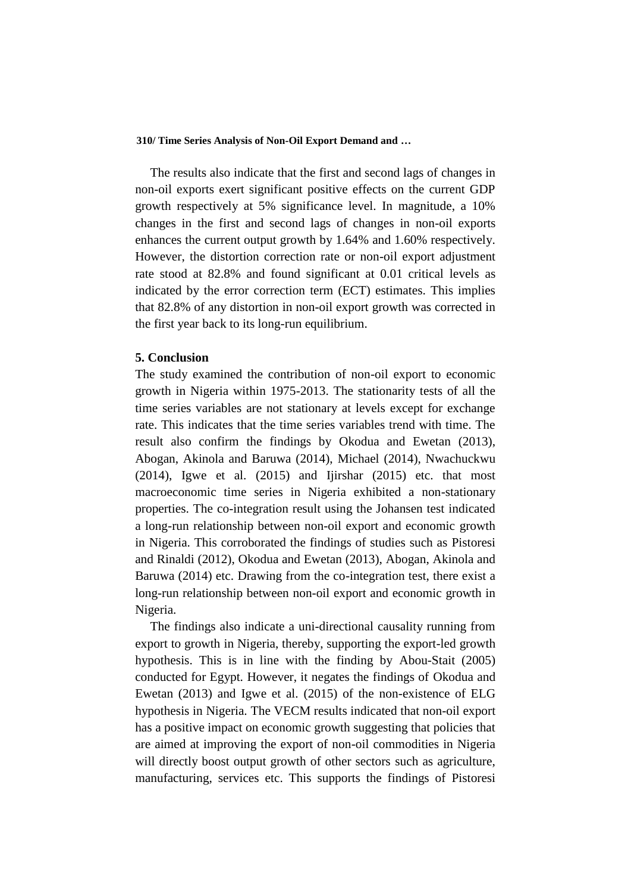The results also indicate that the first and second lags of changes in non-oil exports exert significant positive effects on the current GDP growth respectively at 5% significance level. In magnitude, a 10% changes in the first and second lags of changes in non-oil exports enhances the current output growth by 1.64% and 1.60% respectively. However, the distortion correction rate or non-oil export adjustment rate stood at 82.8% and found significant at 0.01 critical levels as indicated by the error correction term (ECT) estimates. This implies that 82.8% of any distortion in non-oil export growth was corrected in the first year back to its long-run equilibrium.

### **5. Conclusion**

The study examined the contribution of non-oil export to economic growth in Nigeria within 1975-2013. The stationarity tests of all the time series variables are not stationary at levels except for exchange rate. This indicates that the time series variables trend with time. The result also confirm the findings by Okodua and Ewetan (2013), Abogan, Akinola and Baruwa (2014), Michael (2014), Nwachuckwu  $(2014)$ , Igwe et al.  $(2015)$  and Ijirshar  $(2015)$  etc. that most macroeconomic time series in Nigeria exhibited a non-stationary properties. The co-integration result using the Johansen test indicated a long-run relationship between non-oil export and economic growth in Nigeria. This corroborated the findings of studies such as Pistoresi and Rinaldi (2012), Okodua and Ewetan (2013), Abogan, Akinola and Baruwa (2014) etc. Drawing from the co-integration test, there exist a long-run relationship between non-oil export and economic growth in Nigeria.

The findings also indicate a uni-directional causality running from export to growth in Nigeria, thereby, supporting the export-led growth hypothesis. This is in line with the finding by Abou-Stait (2005) conducted for Egypt. However, it negates the findings of Okodua and Ewetan (2013) and Igwe et al. (2015) of the non-existence of ELG hypothesis in Nigeria. The VECM results indicated that non-oil export has a positive impact on economic growth suggesting that policies that are aimed at improving the export of non-oil commodities in Nigeria will directly boost output growth of other sectors such as agriculture, manufacturing, services etc. This supports the findings of Pistoresi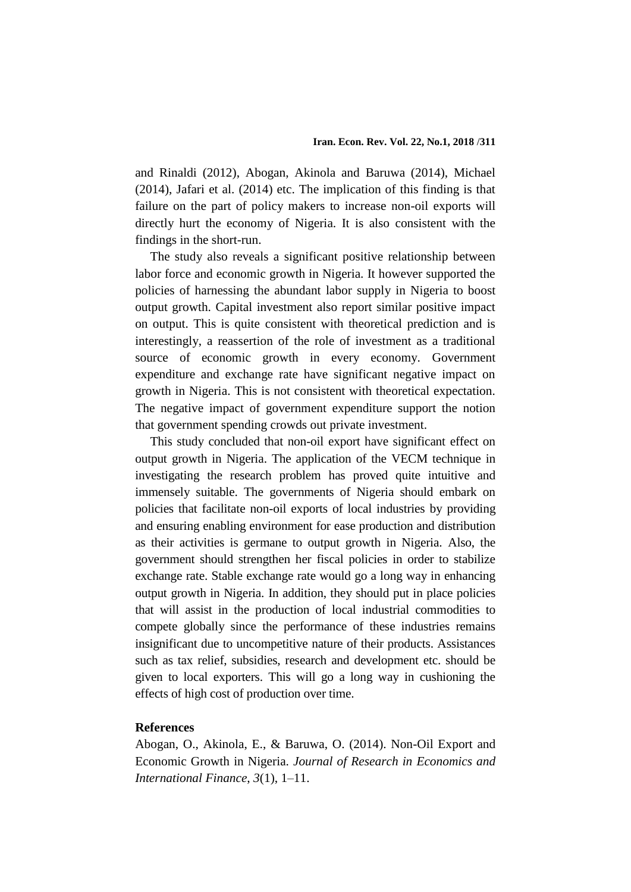and Rinaldi (2012), Abogan, Akinola and Baruwa (2014), Michael (2014), Jafari et al. (2014) etc. The implication of this finding is that failure on the part of policy makers to increase non-oil exports will directly hurt the economy of Nigeria. It is also consistent with the findings in the short-run.

The study also reveals a significant positive relationship between labor force and economic growth in Nigeria. It however supported the policies of harnessing the abundant labor supply in Nigeria to boost output growth. Capital investment also report similar positive impact on output. This is quite consistent with theoretical prediction and is interestingly, a reassertion of the role of investment as a traditional source of economic growth in every economy. Government expenditure and exchange rate have significant negative impact on growth in Nigeria. This is not consistent with theoretical expectation. The negative impact of government expenditure support the notion that government spending crowds out private investment.

This study concluded that non-oil export have significant effect on output growth in Nigeria. The application of the VECM technique in investigating the research problem has proved quite intuitive and immensely suitable. The governments of Nigeria should embark on policies that facilitate non-oil exports of local industries by providing and ensuring enabling environment for ease production and distribution as their activities is germane to output growth in Nigeria. Also, the government should strengthen her fiscal policies in order to stabilize exchange rate. Stable exchange rate would go a long way in enhancing output growth in Nigeria. In addition, they should put in place policies that will assist in the production of local industrial commodities to compete globally since the performance of these industries remains insignificant due to uncompetitive nature of their products. Assistances such as tax relief, subsidies, research and development etc. should be given to local exporters. This will go a long way in cushioning the effects of high cost of production over time.

# **References**

Abogan, O., Akinola, E., & Baruwa, O. (2014). Non-Oil Export and Economic Growth in Nigeria. *Journal of Research in Economics and International Finance*, *3*(1), 1–11.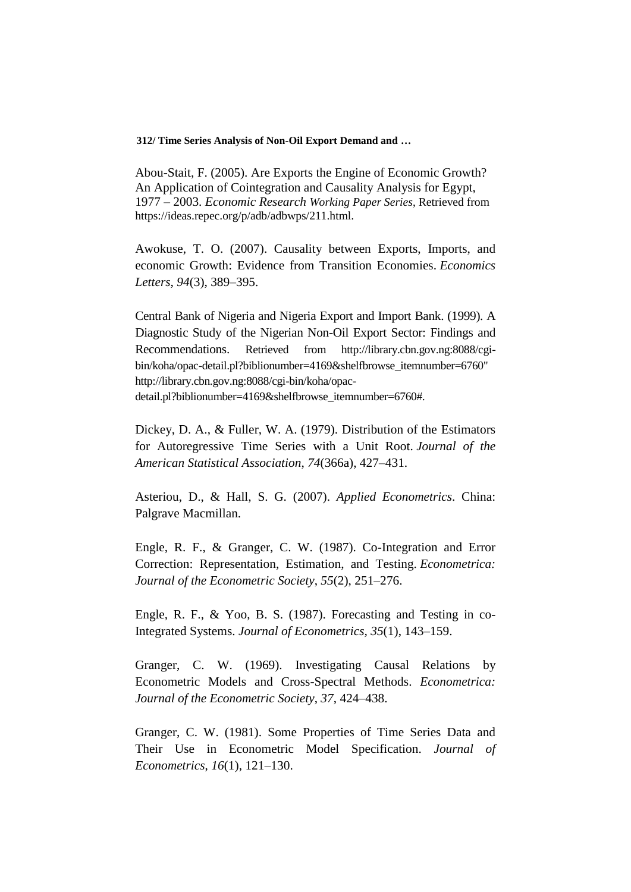Abou-Stait, F. (2005). Are Exports the Engine of Economic Growth? An Application of Cointegration and Causality Analysis for Egypt, 1977 – 2003. *Economic Research Working Paper Series*, Retrieved from https://ideas.repec.org/p/adb/adbwps/211.html.

Awokuse, T. O. (2007). Causality between Exports, Imports, and economic Growth: Evidence from Transition Economies. *Economics Letters*, *94*(3), 389–395.

Central Bank of Nigeria and Nigeria Export and Import Bank. (1999). A Diagnostic Study of the Nigerian Non-Oil Export Sector: Findings and Recommendations. Retrieved from http://library.cbn.gov.ng:8088/cgibin/koha/opac-detail.pl?biblionumber=4169&shelfbrowse\_itemnumber=6760" http://library.cbn.gov.ng:8088/cgi-bin/koha/opacdetail.pl?biblionumber=4169&shelfbrowse\_itemnumber=6760#.

Dickey, D. A., & Fuller, W. A. (1979). Distribution of the Estimators for Autoregressive Time Series with a Unit Root. *Journal of the American Statistical Association*, *74*(366a), 427–431.

Asteriou, D., & Hall, S. G. (2007). *Applied Econometrics*. China: Palgrave Macmillan.

Engle, R. F., & Granger, C. W. (1987). Co-Integration and Error Correction: Representation, Estimation, and Testing. *Econometrica: Journal of the Econometric Society*, *55*(2), 251–276.

Engle, R. F., & Yoo, B. S. (1987). Forecasting and Testing in co-Integrated Systems. *Journal of Econometrics, 35*(1), 143–159.

Granger, C. W. (1969). Investigating Causal Relations by Econometric Models and Cross-Spectral Methods. *Econometrica: Journal of the Econometric Society*, *37*, 424–438.

Granger, C. W. (1981). Some Properties of Time Series Data and Their Use in Econometric Model Specification. *Journal of Econometrics*, *16*(1), 121–130.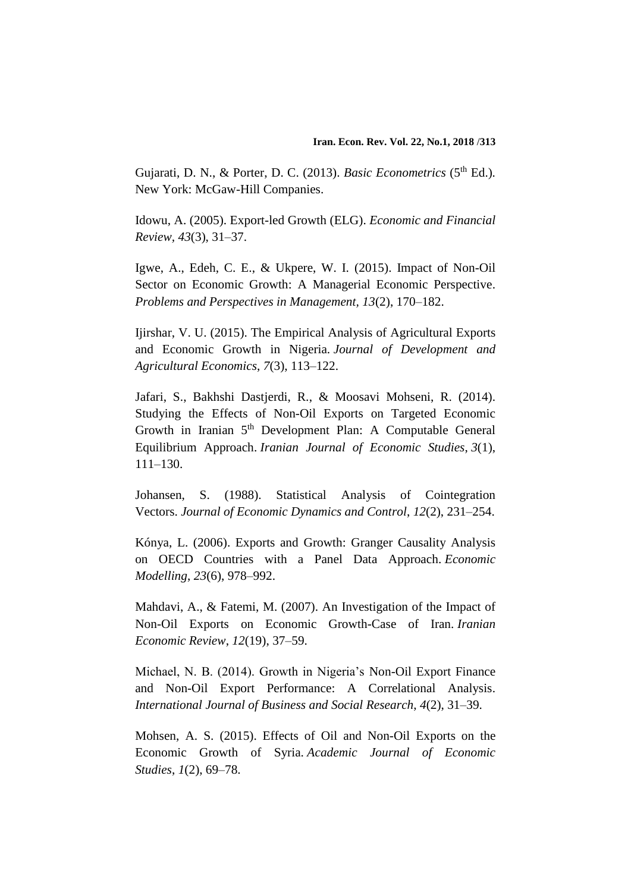Gujarati, D. N., & Porter, D. C. (2013). *Basic Econometrics* (5<sup>th</sup> Ed.). New York: McGaw-Hill Companies.

Idowu, A. (2005). Export-led Growth (ELG). *Economic and Financial Review, 43*(3), 31–37.

Igwe, A., Edeh, C. E., & Ukpere, W. I. (2015). Impact of Non-Oil Sector on Economic Growth: A Managerial Economic Perspective. *Problems and Perspectives in Management, 13*(2), 170–182.

Ijirshar, V. U. (2015). The Empirical Analysis of Agricultural Exports and Economic Growth in Nigeria. *Journal of Development and Agricultural Economics*, *7*(3), 113–122.

Jafari, S., Bakhshi Dastjerdi, R., & Moosavi Mohseni, R. (2014). Studying the Effects of Non-Oil Exports on Targeted Economic Growth in Iranian 5<sup>th</sup> Development Plan: A Computable General Equilibrium Approach. *Iranian Journal of Economic Studies*, *3*(1), 111–130.

Johansen, S. (1988). Statistical Analysis of Cointegration Vectors. *Journal of Economic Dynamics and Control*, *12*(2), 231–254.

Kónya, L. (2006). Exports and Growth: Granger Causality Analysis on OECD Countries with a Panel Data Approach. *Economic Modelling*, *23*(6), 978–992.

Mahdavi, A., & Fatemi, M. (2007). An Investigation of the Impact of Non-Oil Exports on Economic Growth-Case of Iran. *Iranian Economic Review*, *12*(19), 37–59.

Michael, N. B. (2014). Growth in Nigeria's Non-Oil Export Finance and Non-Oil Export Performance: A Correlational Analysis. *International Journal of Business and Social Research*, *4*(2), 31–39.

Mohsen, A. S. (2015). Effects of Oil and Non-Oil Exports on the Economic Growth of Syria. *Academic Journal of Economic Studies*, *1*(2), 69–78.